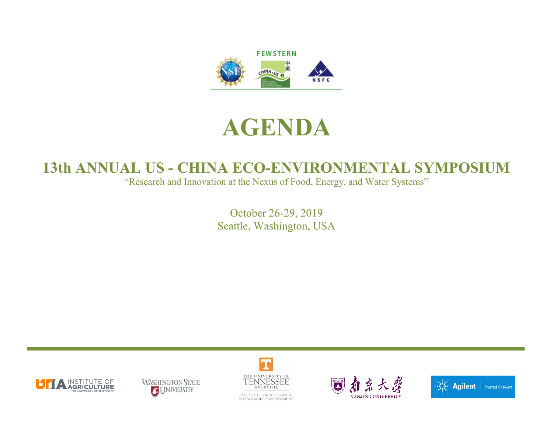

## **AGENDA**

## **13th ANNUAL US - CHINA ECO-ENVIRONMENTAL SYMPOSIUM**

"Research and Innovation at the Nexus of Food, Energy, and Water Systems"

October 26-29, 2019 Seattle, Washington, USA









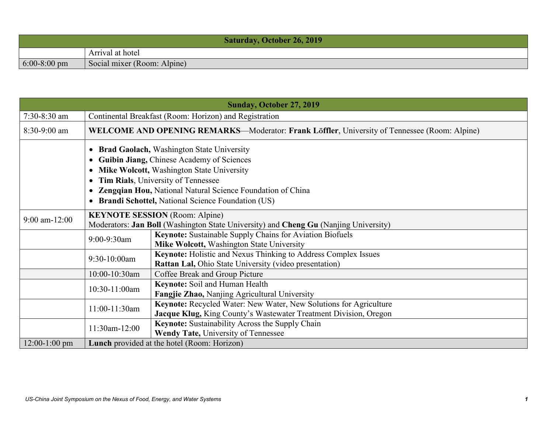| <b>Saturday, October 26, 2019</b> |                             |  |
|-----------------------------------|-----------------------------|--|
|                                   | Arrival at hotel            |  |
| $6:00-8:00 \text{ pm}$            | Social mixer (Room: Alpine) |  |

| <b>Sunday, October 27, 2019</b> |                                                                                                                                                                                                                                                                                                                   |                                                                                                                                       |  |
|---------------------------------|-------------------------------------------------------------------------------------------------------------------------------------------------------------------------------------------------------------------------------------------------------------------------------------------------------------------|---------------------------------------------------------------------------------------------------------------------------------------|--|
| $7:30-8:30$ am                  |                                                                                                                                                                                                                                                                                                                   | Continental Breakfast (Room: Horizon) and Registration                                                                                |  |
| $8:30-9:00$ am                  |                                                                                                                                                                                                                                                                                                                   | <b>WELCOME AND OPENING REMARKS—Moderator: Frank Löffler, University of Tennessee (Room: Alpine)</b>                                   |  |
|                                 | <b>Brad Gaolach, Washington State University</b><br>Guibin Jiang, Chinese Academy of Sciences<br>Mike Wolcott, Washington State University<br>Tim Rials, University of Tennessee<br><b>Zengqian Hou, National Natural Science Foundation of China</b><br><b>Brandi Schottel, National Science Foundation (US)</b> |                                                                                                                                       |  |
| $9:00$ am- $12:00$              | <b>KEYNOTE SESSION</b> (Room: Alpine)<br>Moderators: Jan Boll (Washington State University) and Cheng Gu (Nanjing University)                                                                                                                                                                                     |                                                                                                                                       |  |
|                                 | 9:00-9:30am                                                                                                                                                                                                                                                                                                       | <b>Keynote:</b> Sustainable Supply Chains for Aviation Biofuels<br>Mike Wolcott, Washington State University                          |  |
|                                 | 9:30-10:00am                                                                                                                                                                                                                                                                                                      | <b>Keynote:</b> Holistic and Nexus Thinking to Address Complex Issues<br>Rattan Lal, Ohio State University (video presentation)       |  |
|                                 | 10:00-10:30am                                                                                                                                                                                                                                                                                                     | Coffee Break and Group Picture                                                                                                        |  |
|                                 | 10:30-11:00am                                                                                                                                                                                                                                                                                                     | Keynote: Soil and Human Health<br>Fangjie Zhao, Nanjing Agricultural University                                                       |  |
|                                 | 11:00-11:30am                                                                                                                                                                                                                                                                                                     | Keynote: Recycled Water: New Water, New Solutions for Agriculture<br>Jacque Klug, King County's Wastewater Treatment Division, Oregon |  |
|                                 | 11:30am-12:00                                                                                                                                                                                                                                                                                                     | Keynote: Sustainability Across the Supply Chain<br>Wendy Tate, University of Tennessee                                                |  |
| $12:00-1:00$ pm                 | <b>Lunch</b> provided at the hotel (Room: Horizon)                                                                                                                                                                                                                                                                |                                                                                                                                       |  |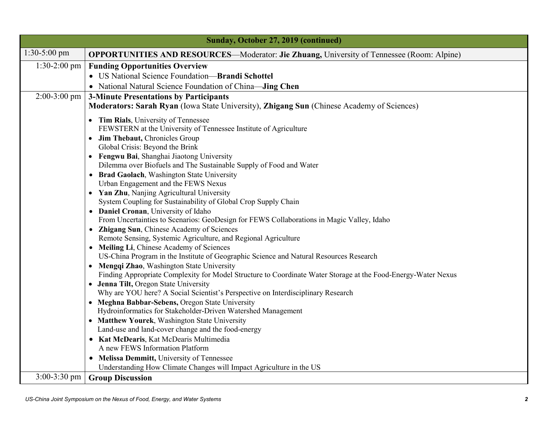| Sunday, October 27, 2019 (continued) |                                                                                                                                    |  |  |
|--------------------------------------|------------------------------------------------------------------------------------------------------------------------------------|--|--|
| $1:30-5:00$ pm                       | <b>OPPORTUNITIES AND RESOURCES—Moderator: Jie Zhuang, University of Tennessee (Room: Alpine)</b>                                   |  |  |
| $1:30-2:00$ pm                       | <b>Funding Opportunities Overview</b>                                                                                              |  |  |
|                                      | • US National Science Foundation-Brandi Schottel                                                                                   |  |  |
|                                      | • National Natural Science Foundation of China-Jing Chen                                                                           |  |  |
| $2:00-3:00$ pm                       | <b>3-Minute Presentations by Participants</b>                                                                                      |  |  |
|                                      | Moderators: Sarah Ryan (Iowa State University), Zhigang Sun (Chinese Academy of Sciences)                                          |  |  |
|                                      | • Tim Rials, University of Tennessee                                                                                               |  |  |
|                                      | FEWSTERN at the University of Tennessee Institute of Agriculture                                                                   |  |  |
|                                      | • Jim Thebaut, Chronicles Group                                                                                                    |  |  |
|                                      | Global Crisis: Beyond the Brink                                                                                                    |  |  |
|                                      | • Fengwu Bai, Shanghai Jiaotong University                                                                                         |  |  |
|                                      | Dilemma over Biofuels and The Sustainable Supply of Food and Water<br>• Brad Gaolach, Washington State University                  |  |  |
|                                      | Urban Engagement and the FEWS Nexus                                                                                                |  |  |
|                                      | • Yan Zhu, Nanjing Agricultural University                                                                                         |  |  |
|                                      | System Coupling for Sustainability of Global Crop Supply Chain                                                                     |  |  |
|                                      | • Daniel Cronan, University of Idaho                                                                                               |  |  |
|                                      | From Uncertainties to Scenarios: GeoDesign for FEWS Collaborations in Magic Valley, Idaho                                          |  |  |
|                                      | Zhigang Sun, Chinese Academy of Sciences                                                                                           |  |  |
|                                      | Remote Sensing, Systemic Agriculture, and Regional Agriculture                                                                     |  |  |
|                                      | • Meiling Li, Chinese Academy of Sciences                                                                                          |  |  |
|                                      | US-China Program in the Institute of Geographic Science and Natural Resources Research<br>Mengqi Zhao, Washington State University |  |  |
|                                      | Finding Appropriate Complexity for Model Structure to Coordinate Water Storage at the Food-Energy-Water Nexus                      |  |  |
|                                      | • Jenna Tilt, Oregon State University                                                                                              |  |  |
|                                      | Why are YOU here? A Social Scientist's Perspective on Interdisciplinary Research                                                   |  |  |
|                                      | • Meghna Babbar-Sebens, Oregon State University                                                                                    |  |  |
|                                      | Hydroinformatics for Stakeholder-Driven Watershed Management                                                                       |  |  |
|                                      | • Matthew Yourek, Washington State University                                                                                      |  |  |
|                                      | Land-use and land-cover change and the food-energy                                                                                 |  |  |
|                                      | • Kat McDearis, Kat McDearis Multimedia<br>A new FEWS Information Platform                                                         |  |  |
|                                      | • Melissa Demmitt, University of Tennessee                                                                                         |  |  |
|                                      | Understanding How Climate Changes will Impact Agriculture in the US                                                                |  |  |
| $3:00-3:30$ pm                       | <b>Group Discussion</b>                                                                                                            |  |  |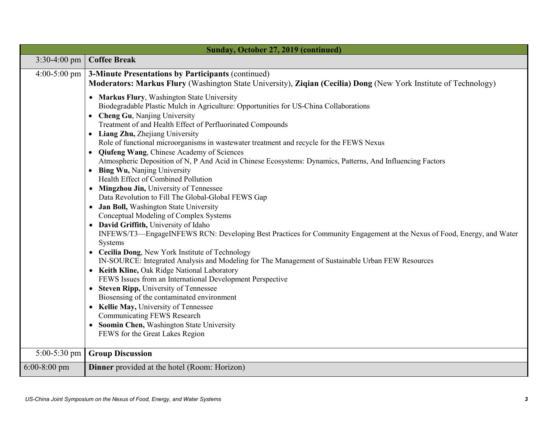| Sunday, October 27, 2019 (continued) |                                                                                                                                                                                                                                                                                                                                                                                                                                                                                                                                                                                                                                                                                                                                                                                                                                                                                                                                                                                                                                                                                                                                                                                                                                                                                                                                                                                                                                                                                                                                              |  |  |
|--------------------------------------|----------------------------------------------------------------------------------------------------------------------------------------------------------------------------------------------------------------------------------------------------------------------------------------------------------------------------------------------------------------------------------------------------------------------------------------------------------------------------------------------------------------------------------------------------------------------------------------------------------------------------------------------------------------------------------------------------------------------------------------------------------------------------------------------------------------------------------------------------------------------------------------------------------------------------------------------------------------------------------------------------------------------------------------------------------------------------------------------------------------------------------------------------------------------------------------------------------------------------------------------------------------------------------------------------------------------------------------------------------------------------------------------------------------------------------------------------------------------------------------------------------------------------------------------|--|--|
|                                      | $3:30-4:00$ pm Coffee Break                                                                                                                                                                                                                                                                                                                                                                                                                                                                                                                                                                                                                                                                                                                                                                                                                                                                                                                                                                                                                                                                                                                                                                                                                                                                                                                                                                                                                                                                                                                  |  |  |
| $4:00-5:00 \text{ pm}$               | <b>3-Minute Presentations by Participants (continued)</b><br>Moderators: Markus Flury (Washington State University), Ziqian (Cecilia) Dong (New York Institute of Technology)                                                                                                                                                                                                                                                                                                                                                                                                                                                                                                                                                                                                                                                                                                                                                                                                                                                                                                                                                                                                                                                                                                                                                                                                                                                                                                                                                                |  |  |
|                                      | • Markus Flury, Washington State University<br>Biodegradable Plastic Mulch in Agriculture: Opportunities for US-China Collaborations<br>• Cheng Gu, Nanjing University<br>Treatment of and Health Effect of Perfluorinated Compounds<br>• Liang Zhu, Zhejiang University<br>Role of functional microorganisms in wastewater treatment and recycle for the FEWS Nexus<br><b>Qiufeng Wang, Chinese Academy of Sciences</b><br>Atmospheric Deposition of N, P And Acid in Chinese Ecosystems: Dynamics, Patterns, And Influencing Factors<br><b>Bing Wu, Nanjing University</b><br>Health Effect of Combined Pollution<br>Mingzhou Jin, University of Tennessee<br>$\bullet$<br>Data Revolution to Fill The Global-Global FEWS Gap<br>Jan Boll, Washington State University<br>Conceptual Modeling of Complex Systems<br>• David Griffith, University of Idaho<br>INFEWS/T3-EngageINFEWS RCN: Developing Best Practices for Community Engagement at the Nexus of Food, Energy, and Water<br>Systems<br>• Cecilia Dong, New York Institute of Technology<br>IN-SOURCE: Integrated Analysis and Modeling for The Management of Sustainable Urban FEW Resources<br>Keith Kline, Oak Ridge National Laboratory<br>FEWS Issues from an International Development Perspective<br><b>Steven Ripp, University of Tennessee</b><br>$\bullet$<br>Biosensing of the contaminated environment<br>Kellie May, University of Tennessee<br><b>Communicating FEWS Research</b><br>• Soomin Chen, Washington State University<br>FEWS for the Great Lakes Region |  |  |
| $5:00-5:30$ pm                       | <b>Group Discussion</b>                                                                                                                                                                                                                                                                                                                                                                                                                                                                                                                                                                                                                                                                                                                                                                                                                                                                                                                                                                                                                                                                                                                                                                                                                                                                                                                                                                                                                                                                                                                      |  |  |
| $6:00-8:00$ pm                       | <b>Dinner</b> provided at the hotel (Room: Horizon)                                                                                                                                                                                                                                                                                                                                                                                                                                                                                                                                                                                                                                                                                                                                                                                                                                                                                                                                                                                                                                                                                                                                                                                                                                                                                                                                                                                                                                                                                          |  |  |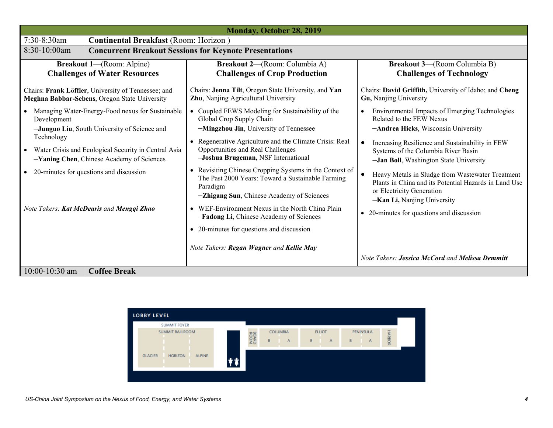| <b>Monday, October 28, 2019</b>                                                                                                                                                                                                                                                                                                  |                                                                                                      |                                                                                                                                                                                                                                                                                                                                                                                                                                                                                                                                                                                                                                                       |                                                                                                                                                                                                                                                                                                                                                                                                                                                                                                       |
|----------------------------------------------------------------------------------------------------------------------------------------------------------------------------------------------------------------------------------------------------------------------------------------------------------------------------------|------------------------------------------------------------------------------------------------------|-------------------------------------------------------------------------------------------------------------------------------------------------------------------------------------------------------------------------------------------------------------------------------------------------------------------------------------------------------------------------------------------------------------------------------------------------------------------------------------------------------------------------------------------------------------------------------------------------------------------------------------------------------|-------------------------------------------------------------------------------------------------------------------------------------------------------------------------------------------------------------------------------------------------------------------------------------------------------------------------------------------------------------------------------------------------------------------------------------------------------------------------------------------------------|
| 7:30-8:30am                                                                                                                                                                                                                                                                                                                      | <b>Continental Breakfast (Room: Horizon)</b>                                                         |                                                                                                                                                                                                                                                                                                                                                                                                                                                                                                                                                                                                                                                       |                                                                                                                                                                                                                                                                                                                                                                                                                                                                                                       |
| 8:30-10:00am                                                                                                                                                                                                                                                                                                                     | <b>Concurrent Breakout Sessions for Keynote Presentations</b>                                        |                                                                                                                                                                                                                                                                                                                                                                                                                                                                                                                                                                                                                                                       |                                                                                                                                                                                                                                                                                                                                                                                                                                                                                                       |
| <b>Breakout 1—(Room: Alpine)</b><br><b>Challenges of Water Resources</b>                                                                                                                                                                                                                                                         |                                                                                                      | <b>Breakout 2—(Room: Columbia A)</b><br><b>Challenges of Crop Production</b>                                                                                                                                                                                                                                                                                                                                                                                                                                                                                                                                                                          | <b>Breakout 3-(Room Columbia B)</b><br><b>Challenges of Technology</b>                                                                                                                                                                                                                                                                                                                                                                                                                                |
|                                                                                                                                                                                                                                                                                                                                  | Chairs: Frank Löffler, University of Tennessee; and<br>Meghna Babbar-Sebens, Oregon State University | Chairs: Jenna Tilt, Oregon State University, and Yan<br>Zhu, Nanjing Agricultural University                                                                                                                                                                                                                                                                                                                                                                                                                                                                                                                                                          | Chairs: David Griffith, University of Idaho; and Cheng<br>Gu, Nanjing University                                                                                                                                                                                                                                                                                                                                                                                                                      |
| • Managing Water-Energy-Food nexus for Sustainable<br>Development<br>-Junguo Liu, South University of Science and<br>Technology<br>• Water Crisis and Ecological Security in Central Asia<br>-Yaning Chen, Chinese Academy of Sciences<br>• 20-minutes for questions and discussion<br>Note Takers: Kat McDearis and Mengqi Zhao |                                                                                                      | • Coupled FEWS Modeling for Sustainability of the<br>Global Crop Supply Chain<br>-Mingzhou Jin, University of Tennessee<br>Regenerative Agriculture and the Climate Crisis: Real<br>$\bullet$<br>Opportunities and Real Challenges<br>-Joshua Brugeman, NSF International<br>Revisiting Chinese Cropping Systems in the Context of<br>$\bullet$<br>The Past 2000 Years: Toward a Sustainable Farming<br>Paradigm<br>-Zhigang Sun, Chinese Academy of Sciences<br>• WEF-Environment Nexus in the North China Plain<br>-Fadong Li, Chinese Academy of Sciences<br>• 20-minutes for questions and discussion<br>Note Takers: Regan Wagner and Kellie May | Environmental Impacts of Emerging Technologies<br>Related to the FEW Nexus<br>-Andrea Hicks, Wisconsin University<br>Increasing Resilience and Sustainability in FEW<br>$\bullet$<br>Systems of the Columbia River Basin<br>-Jan Boll, Washington State University<br>Heavy Metals in Sludge from Wastewater Treatment<br>$\bullet$<br>Plants in China and its Potential Hazards in Land Use<br>or Electricity Generation<br>-Kan Li, Nanjing University<br>• 20-minutes for questions and discussion |
|                                                                                                                                                                                                                                                                                                                                  |                                                                                                      |                                                                                                                                                                                                                                                                                                                                                                                                                                                                                                                                                                                                                                                       | Note Takers: Jessica McCord and Melissa Demmitt                                                                                                                                                                                                                                                                                                                                                                                                                                                       |
| $10:00 - 10:30$ am                                                                                                                                                                                                                                                                                                               | <b>Coffee Break</b>                                                                                  |                                                                                                                                                                                                                                                                                                                                                                                                                                                                                                                                                                                                                                                       |                                                                                                                                                                                                                                                                                                                                                                                                                                                                                                       |

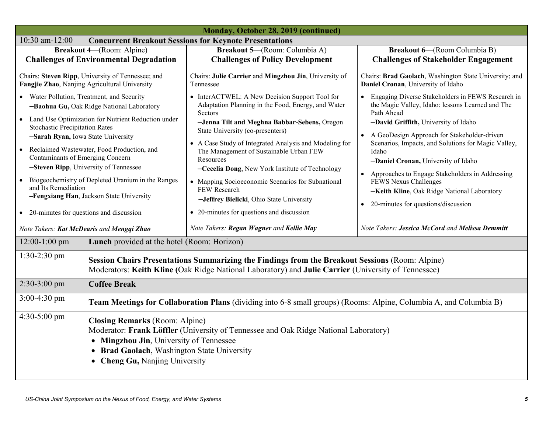| Monday, October 28, 2019 (continued)                                                                                                                                                                                                                                                                                                                                                                                                                                                                                                    |                                                                                                                                                                                                                                                                     |                                                                                                                                                                                                                                                                                                                                                                                                                                                                                                                                      |                                                                                                                                                                                                                                                                                                                                                                                                                                                                                                               |
|-----------------------------------------------------------------------------------------------------------------------------------------------------------------------------------------------------------------------------------------------------------------------------------------------------------------------------------------------------------------------------------------------------------------------------------------------------------------------------------------------------------------------------------------|---------------------------------------------------------------------------------------------------------------------------------------------------------------------------------------------------------------------------------------------------------------------|--------------------------------------------------------------------------------------------------------------------------------------------------------------------------------------------------------------------------------------------------------------------------------------------------------------------------------------------------------------------------------------------------------------------------------------------------------------------------------------------------------------------------------------|---------------------------------------------------------------------------------------------------------------------------------------------------------------------------------------------------------------------------------------------------------------------------------------------------------------------------------------------------------------------------------------------------------------------------------------------------------------------------------------------------------------|
| $10:30$ am- $12:00$<br><b>Concurrent Breakout Sessions for Keynote Presentations</b>                                                                                                                                                                                                                                                                                                                                                                                                                                                    |                                                                                                                                                                                                                                                                     |                                                                                                                                                                                                                                                                                                                                                                                                                                                                                                                                      |                                                                                                                                                                                                                                                                                                                                                                                                                                                                                                               |
|                                                                                                                                                                                                                                                                                                                                                                                                                                                                                                                                         | <b>Breakout 4-(Room: Alpine)</b>                                                                                                                                                                                                                                    | Breakout 5-(Room: Columbia A)                                                                                                                                                                                                                                                                                                                                                                                                                                                                                                        | <b>Breakout 6-(Room Columbia B)</b>                                                                                                                                                                                                                                                                                                                                                                                                                                                                           |
|                                                                                                                                                                                                                                                                                                                                                                                                                                                                                                                                         | <b>Challenges of Environmental Degradation</b>                                                                                                                                                                                                                      | <b>Challenges of Policy Development</b>                                                                                                                                                                                                                                                                                                                                                                                                                                                                                              | <b>Challenges of Stakeholder Engagement</b>                                                                                                                                                                                                                                                                                                                                                                                                                                                                   |
| Chairs: Steven Ripp, University of Tennessee; and<br>Fangjie Zhao, Nanjing Agricultural University                                                                                                                                                                                                                                                                                                                                                                                                                                      |                                                                                                                                                                                                                                                                     | Chairs: Julie Carrier and Mingzhou Jin, University of<br>Tennessee                                                                                                                                                                                                                                                                                                                                                                                                                                                                   | Chairs: Brad Gaolach, Washington State University; and<br>Daniel Cronan, University of Idaho                                                                                                                                                                                                                                                                                                                                                                                                                  |
| Water Pollution, Treatment, and Security<br>-Baohua Gu, Oak Ridge National Laboratory<br>Land Use Optimization for Nutrient Reduction under<br><b>Stochastic Precipitation Rates</b><br>-Sarah Ryan, Iowa State University<br>Reclaimed Wastewater, Food Production, and<br>Contaminants of Emerging Concern<br>-Steven Ripp, University of Tennessee<br>Biogeochemistry of Depleted Uranium in the Ranges<br>$\bullet$<br>and Its Remediation<br>-Fengxiang Han, Jackson State University<br>• 20-minutes for questions and discussion |                                                                                                                                                                                                                                                                     | • InterACTWEL: A New Decision Support Tool for<br>Adaptation Planning in the Food, Energy, and Water<br>Sectors<br>-Jenna Tilt and Meghna Babbar-Sebens, Oregon<br>State University (co-presenters)<br>A Case Study of Integrated Analysis and Modeling for<br>The Management of Sustainable Urban FEW<br>Resources<br>-Cecelia Dong, New York Institute of Technology<br>• Mapping Socioeconomic Scenarios for Subnational<br>FEW Research<br>-Jeffrey Bielicki, Ohio State University<br>• 20-minutes for questions and discussion | Engaging Diverse Stakeholders in FEWS Research in<br>the Magic Valley, Idaho: lessons Learned and The<br>Path Ahead<br>-David Griffith, University of Idaho<br>A GeoDesign Approach for Stakeholder-driven<br>$\bullet$<br>Scenarios, Impacts, and Solutions for Magic Valley,<br>Idaho<br>-Daniel Cronan, University of Idaho<br>Approaches to Engage Stakeholders in Addressing<br>$\bullet$<br>FEWS Nexus Challenges<br>-Keith Kline, Oak Ridge National Laboratory<br>20-minutes for questions/discussion |
| Note Takers: Kat McDearis and Mengqi Zhao                                                                                                                                                                                                                                                                                                                                                                                                                                                                                               |                                                                                                                                                                                                                                                                     | Note Takers: Regan Wagner and Kellie May                                                                                                                                                                                                                                                                                                                                                                                                                                                                                             | Note Takers: Jessica McCord and Melissa Demmitt                                                                                                                                                                                                                                                                                                                                                                                                                                                               |
| 12:00-1:00 pm                                                                                                                                                                                                                                                                                                                                                                                                                                                                                                                           | <b>Lunch</b> provided at the hotel (Room: Horizon)                                                                                                                                                                                                                  |                                                                                                                                                                                                                                                                                                                                                                                                                                                                                                                                      |                                                                                                                                                                                                                                                                                                                                                                                                                                                                                                               |
| 1:30-2:30 pm                                                                                                                                                                                                                                                                                                                                                                                                                                                                                                                            | Session Chairs Presentations Summarizing the Findings from the Breakout Sessions (Room: Alpine)<br>Moderators: Keith Kline (Oak Ridge National Laboratory) and Julie Carrier (University of Tennessee)                                                              |                                                                                                                                                                                                                                                                                                                                                                                                                                                                                                                                      |                                                                                                                                                                                                                                                                                                                                                                                                                                                                                                               |
| $2:30-3:00$ pm                                                                                                                                                                                                                                                                                                                                                                                                                                                                                                                          | <b>Coffee Break</b>                                                                                                                                                                                                                                                 |                                                                                                                                                                                                                                                                                                                                                                                                                                                                                                                                      |                                                                                                                                                                                                                                                                                                                                                                                                                                                                                                               |
| $3:00-4:30$ pm                                                                                                                                                                                                                                                                                                                                                                                                                                                                                                                          | Team Meetings for Collaboration Plans (dividing into 6-8 small groups) (Rooms: Alpine, Columbia A, and Columbia B)                                                                                                                                                  |                                                                                                                                                                                                                                                                                                                                                                                                                                                                                                                                      |                                                                                                                                                                                                                                                                                                                                                                                                                                                                                                               |
| $4:30-5:00$ pm                                                                                                                                                                                                                                                                                                                                                                                                                                                                                                                          | <b>Closing Remarks</b> (Room: Alpine)<br>Moderator: Frank Löffler (University of Tennessee and Oak Ridge National Laboratory)<br>• Mingzhou Jin, University of Tennessee<br><b>Brad Gaolach, Washington State University</b><br><b>Cheng Gu, Nanjing University</b> |                                                                                                                                                                                                                                                                                                                                                                                                                                                                                                                                      |                                                                                                                                                                                                                                                                                                                                                                                                                                                                                                               |